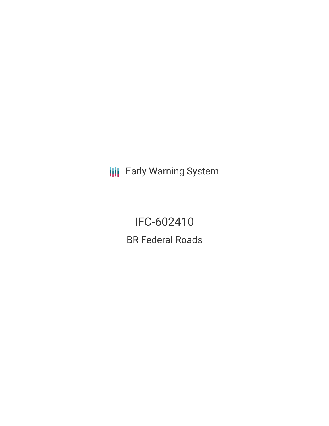**III** Early Warning System

IFC-602410 BR Federal Roads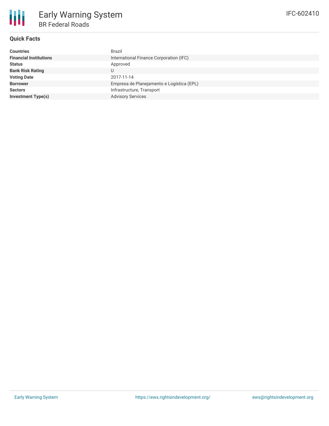## **Quick Facts**

| <b>Countries</b>              | Brazil                                    |  |  |  |  |
|-------------------------------|-------------------------------------------|--|--|--|--|
| <b>Financial Institutions</b> | International Finance Corporation (IFC)   |  |  |  |  |
| <b>Status</b>                 | Approved                                  |  |  |  |  |
| <b>Bank Risk Rating</b>       | U                                         |  |  |  |  |
| <b>Voting Date</b>            | 2017-11-14                                |  |  |  |  |
| <b>Borrower</b>               | Empresa de Planejamento e Logística (EPL) |  |  |  |  |
| <b>Sectors</b>                | Infrastructure, Transport                 |  |  |  |  |
| <b>Investment Type(s)</b>     | <b>Advisory Services</b>                  |  |  |  |  |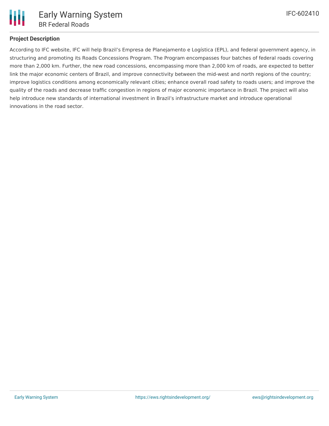

# **Project Description**

According to IFC website, IFC will help Brazil's Empresa de Planejamento e Logística (EPL), and federal government agency, in structuring and promoting its Roads Concessions Program. The Program encompasses four batches of federal roads covering more than 2,000 km. Further, the new road concessions, encompassing more than 2,000 km of roads, are expected to better link the major economic centers of Brazil, and improve connectivity between the mid-west and north regions of the country; improve logistics conditions among economically relevant cities; enhance overall road safety to roads users; and improve the quality of the roads and decrease traffic congestion in regions of major economic importance in Brazil. The project will also help introduce new standards of international investment in Brazil's infrastructure market and introduce operational innovations in the road sector.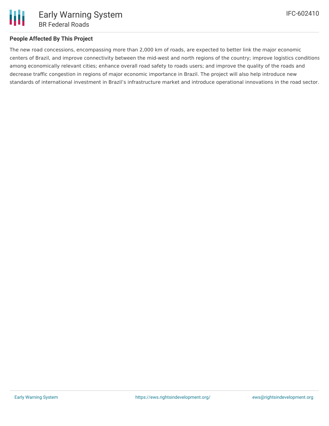

# Early Warning System BR Federal Roads

# **People Affected By This Project**

The new road concessions, encompassing more than 2,000 km of roads, are expected to better link the major economic centers of Brazil, and improve connectivity between the mid-west and north regions of the country; improve logistics conditions among economically relevant cities; enhance overall road safety to roads users; and improve the quality of the roads and decrease traffic congestion in regions of major economic importance in Brazil. The project will also help introduce new standards of international investment in Brazil's infrastructure market and introduce operational innovations in the road sector.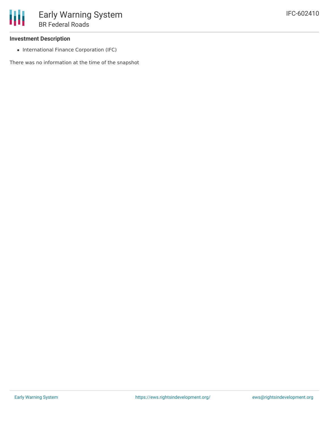#### **Investment Description**

• International Finance Corporation (IFC)

There was no information at the time of the snapshot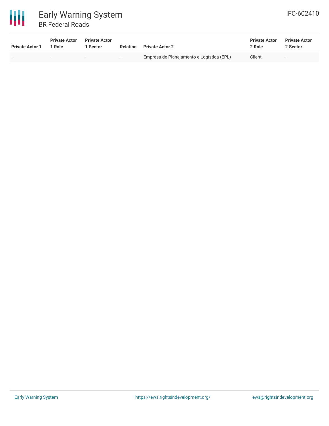

# Early Warning System BR Federal Roads

| <b>Private Actor 1</b> | <b>Private Actor</b><br>1 Role | <b>Private Actor</b><br>Sector |     | <b>Relation</b> Private Actor 2           | <b>Private Actor</b><br>2 Role | <b>Private Actor</b><br>2 Sector |
|------------------------|--------------------------------|--------------------------------|-----|-------------------------------------------|--------------------------------|----------------------------------|
|                        |                                | $\sim$                         | . . | Empresa de Planejamento e Logística (EPL) | Client                         | . .                              |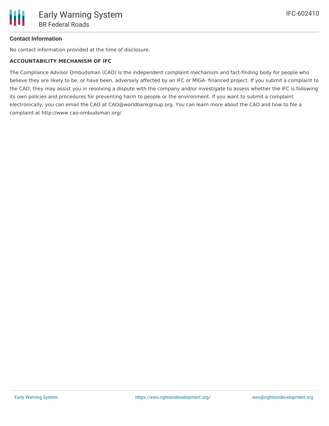# **Contact Information**

No contact information provided at the time of disclosure.

#### **ACCOUNTABILITY MECHANISM OF IFC**

The Compliance Advisor Ombudsman (CAO) is the independent complaint mechanism and fact-finding body for people who believe they are likely to be, or have been, adversely affected by an IFC or MIGA- financed project. If you submit a complaint to the CAO, they may assist you in resolving a dispute with the company and/or investigate to assess whether the IFC is following its own policies and procedures for preventing harm to people or the environment. If you want to submit a complaint electronically, you can email the CAO at CAO@worldbankgroup.org. You can learn more about the CAO and how to file a complaint at http://www.cao-ombudsman.org/